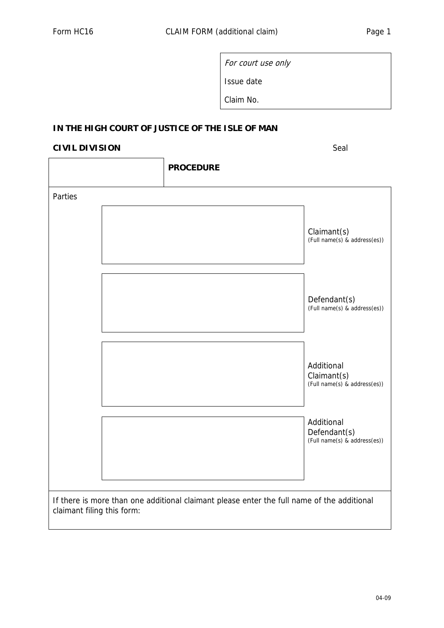For court use only Issue date

Claim No.

## **IN THE HIGH COURT OF JUSTICE OF THE ISLE OF MAN**

## **CIVIL DIVISION** Seal

|                                                                                                                          |  | <b>PROCEDURE</b> |                                                            |  |
|--------------------------------------------------------------------------------------------------------------------------|--|------------------|------------------------------------------------------------|--|
| Parties                                                                                                                  |  |                  |                                                            |  |
|                                                                                                                          |  |                  | Claimant(s)<br>(Full name(s) & address(es))                |  |
|                                                                                                                          |  |                  | Defendant(s)<br>(Full name(s) & address(es))               |  |
|                                                                                                                          |  |                  | Additional<br>Claimant(s)<br>(Full name(s) & address(es))  |  |
|                                                                                                                          |  |                  | Additional<br>Defendant(s)<br>(Full name(s) & address(es)) |  |
| If there is more than one additional claimant please enter the full name of the additional<br>claimant filing this form: |  |                  |                                                            |  |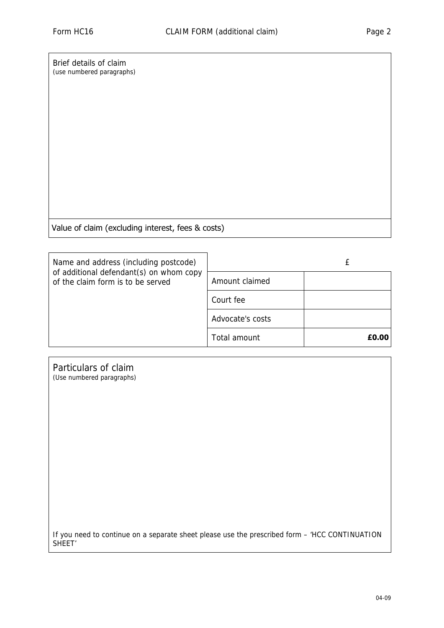Brief details of claim (use numbered paragraphs)

Value of claim Value of claim (excluding interest, fees & costs)

| Name and address (including postcode)                                        |                  |       |
|------------------------------------------------------------------------------|------------------|-------|
| of additional defendant(s) on whom copy<br>of the claim form is to be served | Amount claimed   |       |
|                                                                              | Court fee        |       |
|                                                                              | Advocate's costs |       |
|                                                                              | Total amount     | £0.00 |

| Particulars of claim<br>(Use numbered paragraphs)                                                                    |
|----------------------------------------------------------------------------------------------------------------------|
|                                                                                                                      |
|                                                                                                                      |
|                                                                                                                      |
|                                                                                                                      |
|                                                                                                                      |
| If you need to continue on a separate sheet please use the prescribed form - 'HCC CONTINUATION<br>SHEET <sup>'</sup> |